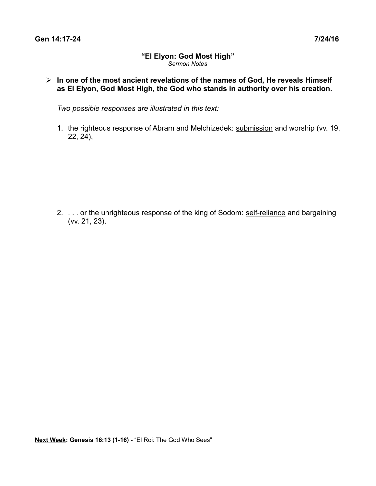## **"El Elyon: God Most High"** *Sermon Notes*

 **In one of the most ancient revelations of the names of God, He reveals Himself as El Elyon, God Most High, the God who stands in authority over his creation.**

*Two possible responses are illustrated in this text:*

1. the righteous response of Abram and Melchizedek: submission and worship (vv. 19, 22, 24),

2. . . . or the unrighteous response of the king of Sodom: self-reliance and bargaining (vv. 21, 23).